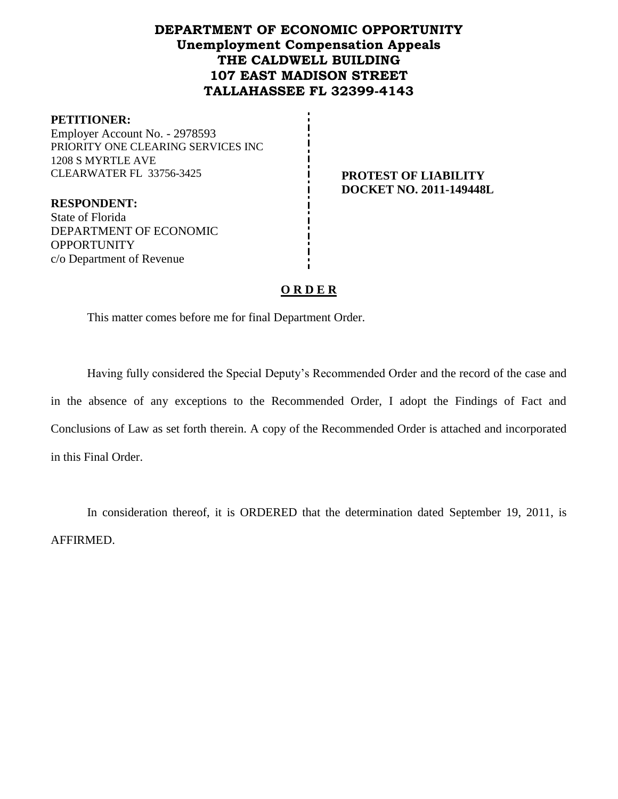# **DEPARTMENT OF ECONOMIC OPPORTUNITY Unemployment Compensation Appeals THE CALDWELL BUILDING 107 EAST MADISON STREET TALLAHASSEE FL 32399-4143**

#### **PETITIONER:**

Employer Account No. - 2978593 PRIORITY ONE CLEARING SERVICES INC 1208 S MYRTLE AVE CLEARWATER FL 33756-3425 **PROTEST OF LIABILITY**

# **DOCKET NO. 2011-149448L**

**RESPONDENT:** State of Florida DEPARTMENT OF ECONOMIC **OPPORTUNITY** c/o Department of Revenue

#### **O R D E R**

This matter comes before me for final Department Order.

Having fully considered the Special Deputy's Recommended Order and the record of the case and in the absence of any exceptions to the Recommended Order, I adopt the Findings of Fact and Conclusions of Law as set forth therein. A copy of the Recommended Order is attached and incorporated in this Final Order.

In consideration thereof, it is ORDERED that the determination dated September 19, 2011, is AFFIRMED.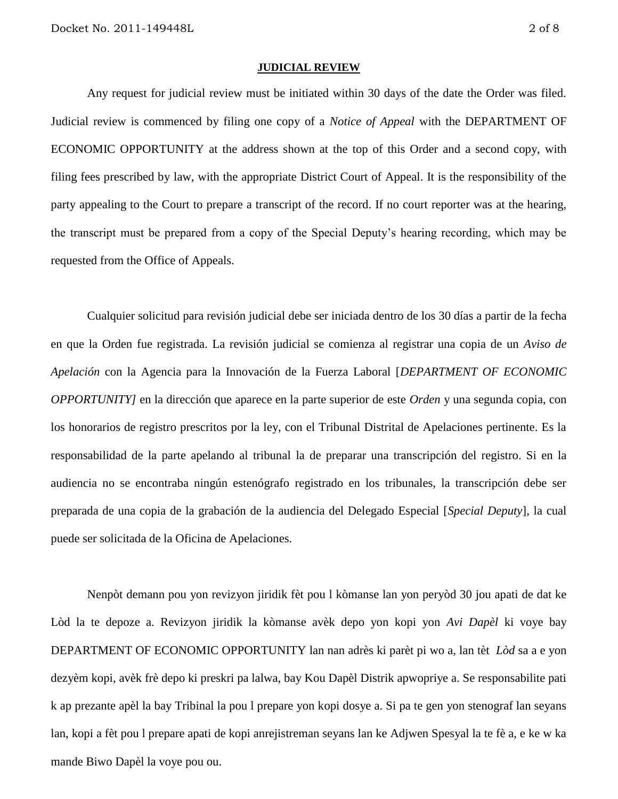#### **JUDICIAL REVIEW**

Any request for judicial review must be initiated within 30 days of the date the Order was filed. Judicial review is commenced by filing one copy of a *Notice of Appeal* with the DEPARTMENT OF ECONOMIC OPPORTUNITY at the address shown at the top of this Order and a second copy, with filing fees prescribed by law, with the appropriate District Court of Appeal. It is the responsibility of the party appealing to the Court to prepare a transcript of the record. If no court reporter was at the hearing, the transcript must be prepared from a copy of the Special Deputy's hearing recording, which may be requested from the Office of Appeals.

Cualquier solicitud para revisión judicial debe ser iniciada dentro de los 30 días a partir de la fecha en que la Orden fue registrada. La revisión judicial se comienza al registrar una copia de un *Aviso de Apelación* con la Agencia para la Innovación de la Fuerza Laboral [*DEPARTMENT OF ECONOMIC OPPORTUNITY]* en la dirección que aparece en la parte superior de este *Orden* y una segunda copia, con los honorarios de registro prescritos por la ley, con el Tribunal Distrital de Apelaciones pertinente. Es la responsabilidad de la parte apelando al tribunal la de preparar una transcripción del registro. Si en la audiencia no se encontraba ningún estenógrafo registrado en los tribunales, la transcripción debe ser preparada de una copia de la grabación de la audiencia del Delegado Especial [*Special Deputy*], la cual puede ser solicitada de la Oficina de Apelaciones.

Nenpòt demann pou yon revizyon jiridik fèt pou l kòmanse lan yon peryòd 30 jou apati de dat ke Lòd la te depoze a. Revizyon jiridik la kòmanse avèk depo yon kopi yon *Avi Dapèl* ki voye bay DEPARTMENT OF ECONOMIC OPPORTUNITY lan nan adrès ki parèt pi wo a, lan tèt *Lòd* sa a e yon dezyèm kopi, avèk frè depo ki preskri pa lalwa, bay Kou Dapèl Distrik apwopriye a. Se responsabilite pati k ap prezante apèl la bay Tribinal la pou l prepare yon kopi dosye a. Si pa te gen yon stenograf lan seyans lan, kopi a fèt pou l prepare apati de kopi anrejistreman seyans lan ke Adjwen Spesyal la te fè a, e ke w ka mande Biwo Dapèl la voye pou ou.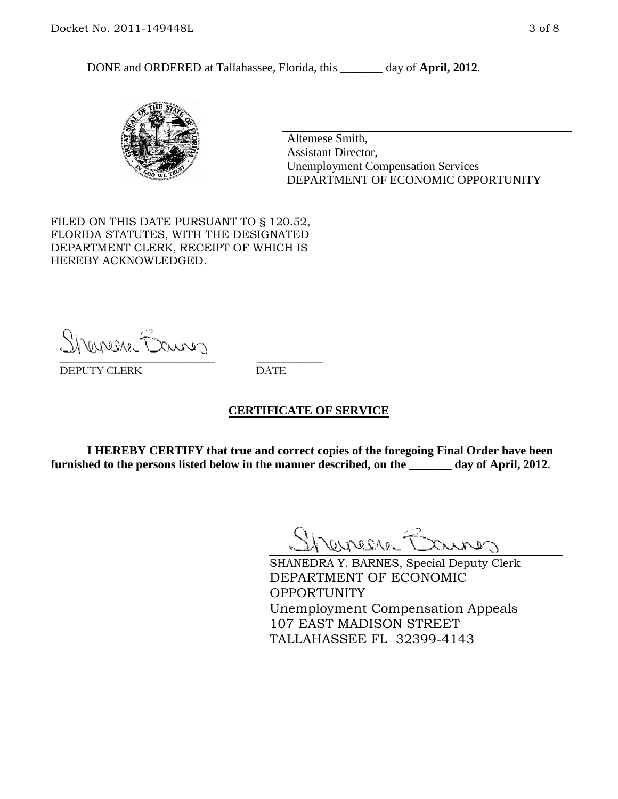DONE and ORDERED at Tallahassee, Florida, this day of **April, 2012**.



Altemese Smith, Assistant Director, Unemployment Compensation Services DEPARTMENT OF ECONOMIC OPPORTUNITY

FILED ON THIS DATE PURSUANT TO § 120.52, FLORIDA STATUTES, WITH THE DESIGNATED DEPARTMENT CLERK, RECEIPT OF WHICH IS HEREBY ACKNOWLEDGED.

Shenesse Bainer \_\_\_\_\_\_\_\_\_\_\_\_\_\_\_\_\_\_\_\_\_\_\_\_\_\_\_\_ \_\_\_\_\_\_\_\_\_\_\_\_

DEPUTY CLERK DATE

#### **CERTIFICATE OF SERVICE**

**I HEREBY CERTIFY that true and correct copies of the foregoing Final Order have been furnished to the persons listed below in the manner described, on the \_\_\_\_\_\_\_ day of April, 2012**.

Shaner Barnes

SHANEDRA Y. BARNES, Special Deputy Clerk DEPARTMENT OF ECONOMIC OPPORTUNITY Unemployment Compensation Appeals 107 EAST MADISON STREET TALLAHASSEE FL 32399-4143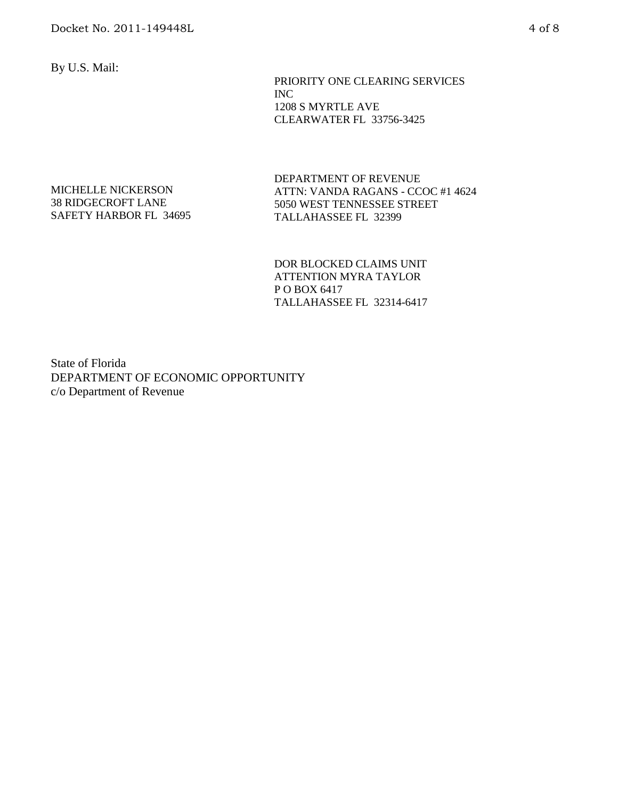By U.S. Mail:

 PRIORITY ONE CLEARING SERVICES INC 1208 S MYRTLE AVE CLEARWATER FL 33756-3425

#### MICHELLE NICKERSON 38 RIDGECROFT LANE SAFETY HARBOR FL 34695

DEPARTMENT OF REVENUE ATTN: VANDA RAGANS - CCOC #1 4624 5050 WEST TENNESSEE STREET TALLAHASSEE FL 32399

DOR BLOCKED CLAIMS UNIT ATTENTION MYRA TAYLOR P O BOX 6417 TALLAHASSEE FL 32314-6417

State of Florida DEPARTMENT OF ECONOMIC OPPORTUNITY c/o Department of Revenue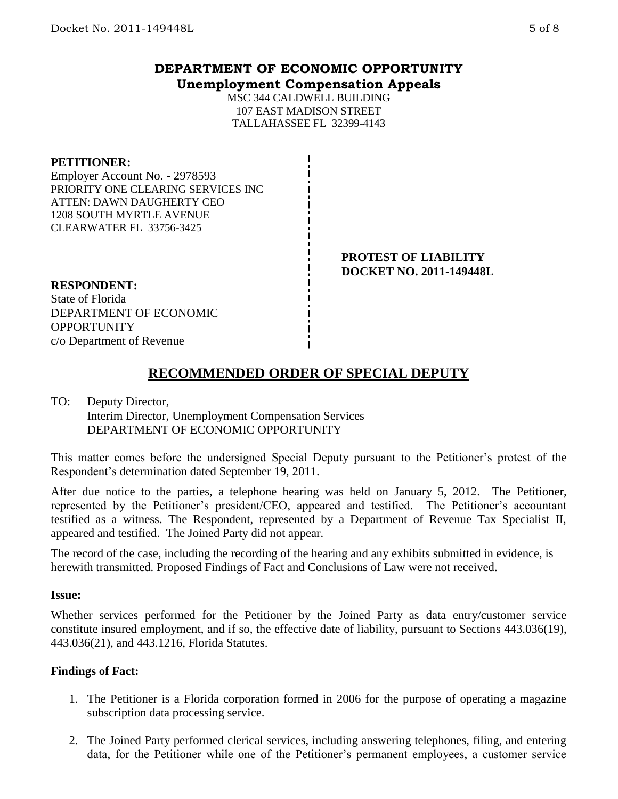### **DEPARTMENT OF ECONOMIC OPPORTUNITY Unemployment Compensation Appeals**

MSC 344 CALDWELL BUILDING 107 EAST MADISON STREET TALLAHASSEE FL 32399-4143

#### **PETITIONER:**

Employer Account No. - 2978593 PRIORITY ONE CLEARING SERVICES INC ATTEN: DAWN DAUGHERTY CEO 1208 SOUTH MYRTLE AVENUE CLEARWATER FL 33756-3425

> **PROTEST OF LIABILITY DOCKET NO. 2011-149448L**

#### **RESPONDENT:**

State of Florida DEPARTMENT OF ECONOMIC **OPPORTUNITY** c/o Department of Revenue

# **RECOMMENDED ORDER OF SPECIAL DEPUTY**

#### TO: Deputy Director, Interim Director, Unemployment Compensation Services DEPARTMENT OF ECONOMIC OPPORTUNITY

This matter comes before the undersigned Special Deputy pursuant to the Petitioner's protest of the Respondent's determination dated September 19, 2011.

After due notice to the parties, a telephone hearing was held on January 5, 2012. The Petitioner, represented by the Petitioner's president/CEO, appeared and testified. The Petitioner's accountant testified as a witness. The Respondent, represented by a Department of Revenue Tax Specialist II, appeared and testified. The Joined Party did not appear.

The record of the case, including the recording of the hearing and any exhibits submitted in evidence, is herewith transmitted. Proposed Findings of Fact and Conclusions of Law were not received.

#### **Issue:**

Whether services performed for the Petitioner by the Joined Party as data entry/customer service constitute insured employment, and if so, the effective date of liability, pursuant to Sections 443.036(19), 443.036(21), and 443.1216, Florida Statutes.

#### **Findings of Fact:**

- 1. The Petitioner is a Florida corporation formed in 2006 for the purpose of operating a magazine subscription data processing service.
- 2. The Joined Party performed clerical services, including answering telephones, filing, and entering data, for the Petitioner while one of the Petitioner's permanent employees, a customer service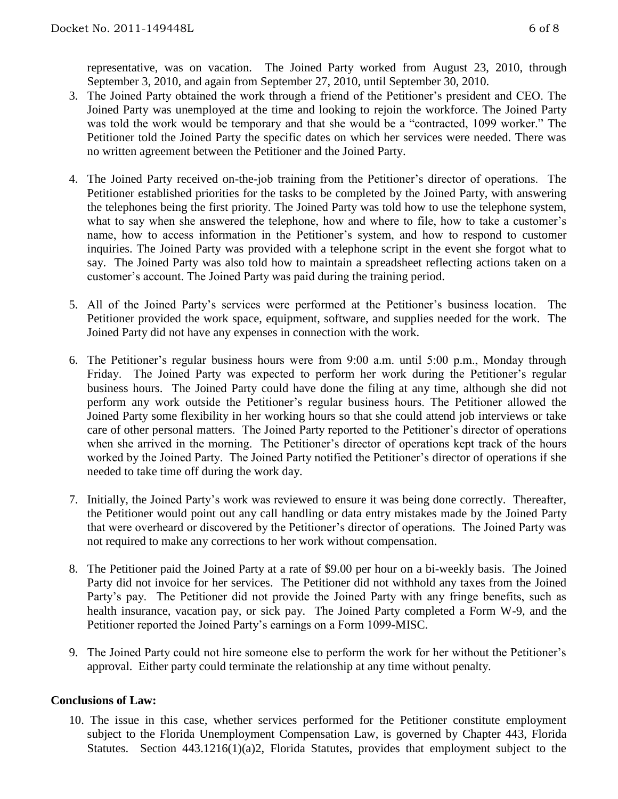representative, was on vacation. The Joined Party worked from August 23, 2010, through September 3, 2010, and again from September 27, 2010, until September 30, 2010.

- 3. The Joined Party obtained the work through a friend of the Petitioner's president and CEO. The Joined Party was unemployed at the time and looking to rejoin the workforce. The Joined Party was told the work would be temporary and that she would be a "contracted, 1099 worker." The Petitioner told the Joined Party the specific dates on which her services were needed. There was no written agreement between the Petitioner and the Joined Party.
- 4. The Joined Party received on-the-job training from the Petitioner's director of operations. The Petitioner established priorities for the tasks to be completed by the Joined Party, with answering the telephones being the first priority. The Joined Party was told how to use the telephone system, what to say when she answered the telephone, how and where to file, how to take a customer's name, how to access information in the Petitioner's system, and how to respond to customer inquiries. The Joined Party was provided with a telephone script in the event she forgot what to say. The Joined Party was also told how to maintain a spreadsheet reflecting actions taken on a customer's account. The Joined Party was paid during the training period.
- 5. All of the Joined Party's services were performed at the Petitioner's business location. The Petitioner provided the work space, equipment, software, and supplies needed for the work. The Joined Party did not have any expenses in connection with the work.
- 6. The Petitioner's regular business hours were from 9:00 a.m. until 5:00 p.m., Monday through Friday. The Joined Party was expected to perform her work during the Petitioner's regular business hours. The Joined Party could have done the filing at any time, although she did not perform any work outside the Petitioner's regular business hours. The Petitioner allowed the Joined Party some flexibility in her working hours so that she could attend job interviews or take care of other personal matters.The Joined Party reported to the Petitioner's director of operations when she arrived in the morning. The Petitioner's director of operations kept track of the hours worked by the Joined Party. The Joined Party notified the Petitioner's director of operations if she needed to take time off during the work day.
- 7. Initially, the Joined Party's work was reviewed to ensure it was being done correctly. Thereafter, the Petitioner would point out any call handling or data entry mistakes made by the Joined Party that were overheard or discovered by the Petitioner's director of operations. The Joined Party was not required to make any corrections to her work without compensation.
- 8. The Petitioner paid the Joined Party at a rate of \$9.00 per hour on a bi-weekly basis. The Joined Party did not invoice for her services. The Petitioner did not withhold any taxes from the Joined Party's pay. The Petitioner did not provide the Joined Party with any fringe benefits, such as health insurance, vacation pay, or sick pay. The Joined Party completed a Form W-9, and the Petitioner reported the Joined Party's earnings on a Form 1099-MISC.
- 9. The Joined Party could not hire someone else to perform the work for her without the Petitioner's approval. Either party could terminate the relationship at any time without penalty.

## **Conclusions of Law:**

10. The issue in this case, whether services performed for the Petitioner constitute employment subject to the Florida Unemployment Compensation Law, is governed by Chapter 443, Florida Statutes. Section 443.1216(1)(a)2, Florida Statutes, provides that employment subject to the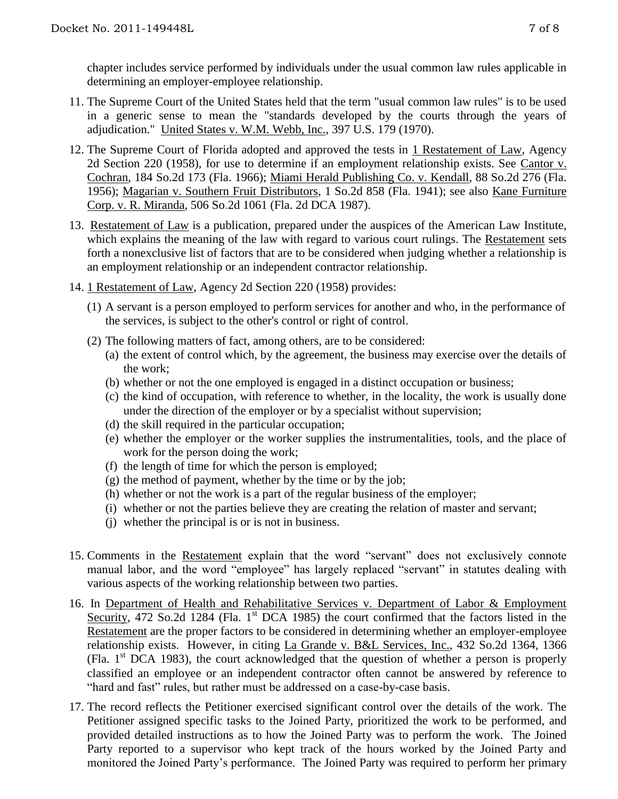chapter includes service performed by individuals under the usual common law rules applicable in determining an employer-employee relationship.

- 11. The Supreme Court of the United States held that the term "usual common law rules" is to be used in a generic sense to mean the "standards developed by the courts through the years of adjudication." United States v. W.M. Webb, Inc., 397 U.S. 179 (1970).
- 12. The Supreme Court of Florida adopted and approved the tests in 1 Restatement of Law, Agency 2d Section 220 (1958), for use to determine if an employment relationship exists. See Cantor v. Cochran, 184 So.2d 173 (Fla. 1966); Miami Herald Publishing Co. v. Kendall, 88 So.2d 276 (Fla. 1956); Magarian v. Southern Fruit Distributors, 1 So.2d 858 (Fla. 1941); see also Kane Furniture Corp. v. R. Miranda, 506 So.2d 1061 (Fla. 2d DCA 1987).
- 13. Restatement of Law is a publication, prepared under the auspices of the American Law Institute, which explains the meaning of the law with regard to various court rulings. The Restatement sets forth a nonexclusive list of factors that are to be considered when judging whether a relationship is an employment relationship or an independent contractor relationship.
- 14. 1 Restatement of Law, Agency 2d Section 220 (1958) provides:
	- (1) A servant is a person employed to perform services for another and who, in the performance of the services, is subject to the other's control or right of control.
	- (2) The following matters of fact, among others, are to be considered:
		- (a) the extent of control which, by the agreement, the business may exercise over the details of the work;
		- (b) whether or not the one employed is engaged in a distinct occupation or business;
		- (c) the kind of occupation, with reference to whether, in the locality, the work is usually done under the direction of the employer or by a specialist without supervision;
		- (d) the skill required in the particular occupation;
		- (e) whether the employer or the worker supplies the instrumentalities, tools, and the place of work for the person doing the work;
		- (f) the length of time for which the person is employed;
		- (g) the method of payment, whether by the time or by the job;
		- (h) whether or not the work is a part of the regular business of the employer;
		- (i) whether or not the parties believe they are creating the relation of master and servant;
		- (j) whether the principal is or is not in business.
- 15. Comments in the Restatement explain that the word "servant" does not exclusively connote manual labor, and the word "employee" has largely replaced "servant" in statutes dealing with various aspects of the working relationship between two parties.
- 16. In Department of Health and Rehabilitative Services v. Department of Labor & Employment Security, 472 So.2d 1284 (Fla. 1<sup>st</sup> DCA 1985) the court confirmed that the factors listed in the Restatement are the proper factors to be considered in determining whether an employer-employee relationship exists. However, in citing La Grande v. B&L Services, Inc., 432 So.2d 1364, 1366 (Fla.  $1<sup>st</sup> DCA$  1983), the court acknowledged that the question of whether a person is properly classified an employee or an independent contractor often cannot be answered by reference to "hard and fast" rules, but rather must be addressed on a case-by-case basis.
- 17. The record reflects the Petitioner exercised significant control over the details of the work. The Petitioner assigned specific tasks to the Joined Party, prioritized the work to be performed, and provided detailed instructions as to how the Joined Party was to perform the work. The Joined Party reported to a supervisor who kept track of the hours worked by the Joined Party and monitored the Joined Party's performance. The Joined Party was required to perform her primary